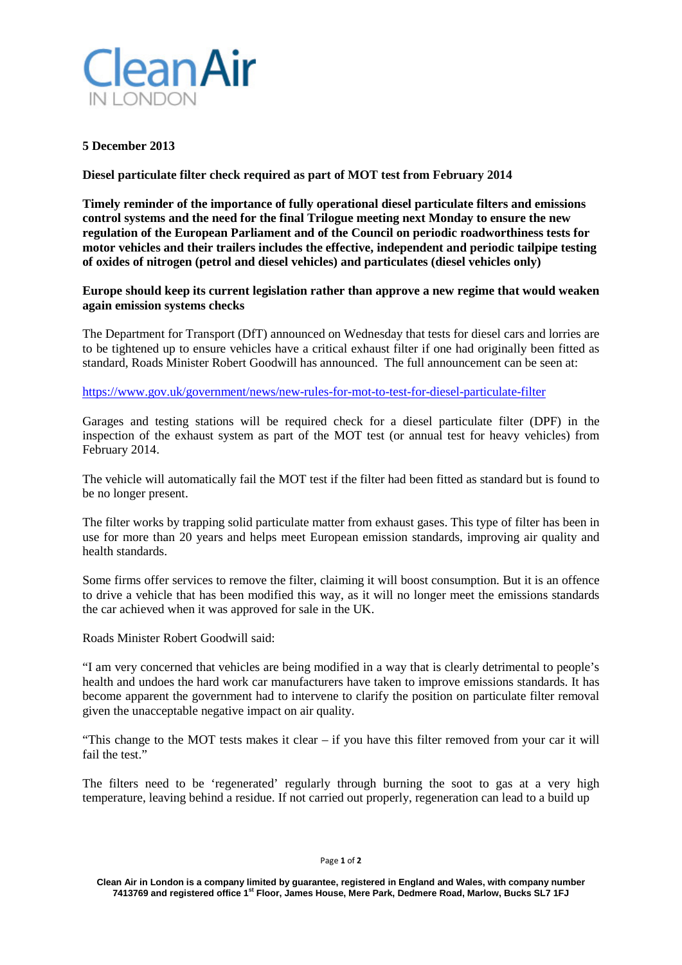

## **5 December 2013**

**Diesel particulate filter check required as part of MOT test from February 2014**

**Timely reminder of the importance of fully operational diesel particulate filters and emissions control systems and the need for the final Trilogue meeting next Monday to ensure the new regulation of the European Parliament and of the Council on periodic roadworthiness tests for motor vehicles and their trailers includes the effective, independent and periodic tailpipe testing of oxides of nitrogen (petrol and diesel vehicles) and particulates (diesel vehicles only)**

**Europe should keep its current legislation rather than approve a new regime that would weaken again emission systems checks**

The Department for Transport (DfT) announced on Wednesday that tests for diesel cars and lorries are to be tightened up to ensure vehicles have a critical exhaust filter if one had originally been fitted as standard, Roads Minister Robert Goodwill has announced. The full announcement can be seen at:

<https://www.gov.uk/government/news/new-rules-for-mot-to-test-for-diesel-particulate-filter>

Garages and testing stations will be required check for a diesel particulate filter (DPF) in the inspection of the exhaust system as part of the MOT test (or annual test for heavy vehicles) from February 2014.

The vehicle will automatically fail the MOT test if the filter had been fitted as standard but is found to be no longer present.

The filter works by trapping solid particulate matter from exhaust gases. This type of filter has been in use for more than 20 years and helps meet European emission standards, improving air quality and health standards.

Some firms offer services to remove the filter, claiming it will boost consumption. But it is an offence to drive a vehicle that has been modified this way, as it will no longer meet the emissions standards the car achieved when it was approved for sale in the UK.

Roads Minister Robert Goodwill said:

"I am very concerned that vehicles are being modified in a way that is clearly detrimental to people's health and undoes the hard work car manufacturers have taken to improve emissions standards. It has become apparent the government had to intervene to clarify the position on particulate filter removal given the unacceptable negative impact on air quality.

"This change to the MOT tests makes it clear – if you have this filter removed from your car it will fail the test."

The filters need to be 'regenerated' regularly through burning the soot to gas at a very high temperature, leaving behind a residue. If not carried out properly, regeneration can lead to a build up

Page **1** of **2**

**Clean Air in London is a company limited by guarantee, registered in England and Wales, with company number 7413769 and registered office 1st Floor, James House, Mere Park, Dedmere Road, Marlow, Bucks SL7 1FJ**